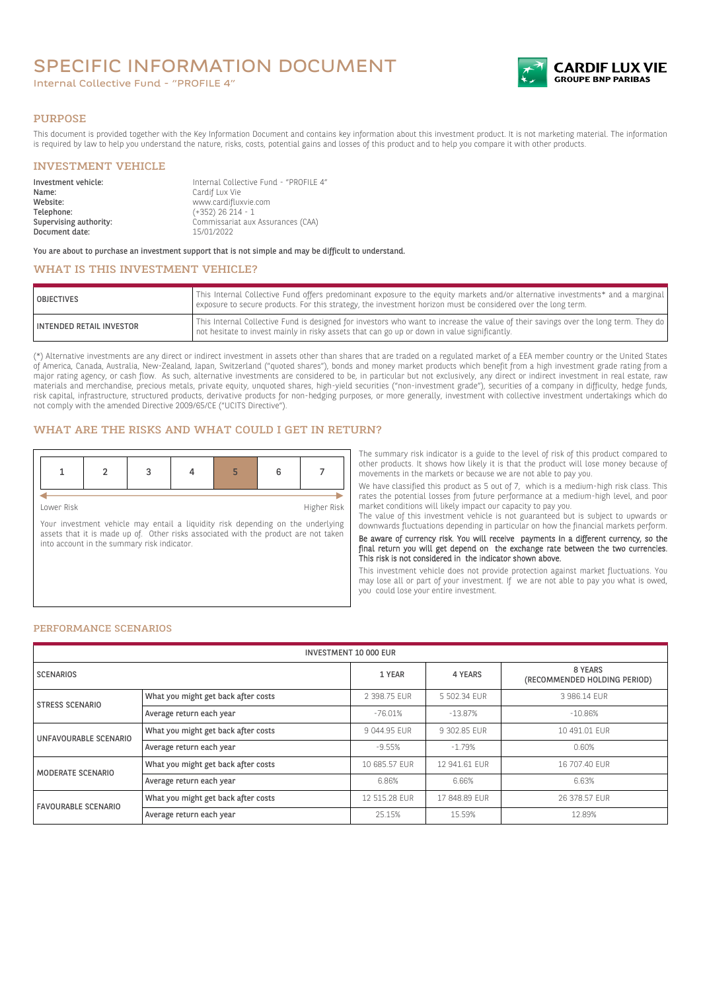# SPECIFIC INFORMATION DOCUMENT

Internal Collective Fund - "PROFILE 4"



#### PURPOSE

This document is provided together with the Key Information Document and contains key information about this investment product. It is not marketing material. The information is required by law to help you understand the nature, risks, costs, potential gains and losses of this product and to help you compare it with other products.

#### INVESTMENT VEHICLE

| Investment vehicle:<br>Name: | Internal Collective Fund - "PROFILE 4"<br>Cardif Lux Vie |
|------------------------------|----------------------------------------------------------|
| Website:                     |                                                          |
| Telephone:                   | www.cardifluxvie.com<br>$(+352)$ 26 214 - 1              |
|                              |                                                          |
| Supervising authority:       | Commissariat aux Assurances (CAA)                        |
| Document date:               | 15/01/2022                                               |

You are about to purchase an investment support that is not simple and may be difficult to understand.

## WHAT IS THIS INVESTMENT VEHICLE?

| <b>OBJECTIVES</b>               | This Internal Collective Fund offers predominant exposure to the equity markets and/or alternative investments* and a marginal<br>exposure to secure products. For this strategy, the investment horizon must be considered over the long term. |
|---------------------------------|-------------------------------------------------------------------------------------------------------------------------------------------------------------------------------------------------------------------------------------------------|
| <b>INTENDED RETAIL INVESTOR</b> | This Internal Collective Fund is designed for investors who want to increase the value of their savings over the long term. They do<br>not hesitate to invest mainly in risky assets that can go up or down in value significantly.             |

(\*) Alternative investments are any direct or indirect investment in assets other than shares that are traded on a regulated market of a EEA member country or the United States of America, Canada, Australia, New-Zealand, Japan, Switzerland ("quoted shares"), bonds and money market products which benefit from a high investment grade rating from a major rating agency, or cash flow. As such, alternative investments are considered to be, in particular but not exclusively, any direct or indirect investment in real estate, raw materials and merchandise, precious metals, private equity, unquoted shares, high-yield securities ("non-investment grade"), securities of a company in difficulty, hedge funds, risk capital, infrastructure, structured products, derivative products for non-hedging purposes, or more generally, investment with collective investment undertakings which do not comply with the amended Directive 2009/65/CE ("UCITS Directive").

## WHAT ARE THE RISKS AND WHAT COULD I GET IN RETURN?

Lower Risk Higher Risk

Your investment vehicle may entail a liquidity risk depending on the underlying assets that it is made up of. Other risks associated with the product are not taken into account in the summary risk indicator.

The summary risk indicator is a guide to the level of risk of this product compared to other products. It shows how likely it is that the product will lose money because of movements in the markets or because we are not able to pay you.

We have classified this product as 5 out of 7, which is a medium-high risk class. This rates the potential losses from future performance at a medium-high level, and poor market conditions will likely impact our capacity to pay you.

The value of this investment vehicle is not guaranteed but is subject to upwards or downwards fluctuations depending in particular on how the financial markets perform.

Be aware of currency risk. You will receive payments in a different currency, so the final return you will get depend on the exchange rate between the two currencies. This risk is not considered in the indicator shown above.

This investment vehicle does not provide protection against market fluctuations. You may lose all or part of your investment. If we are not able to pay you what is owed, you could lose your entire investment.

#### PERFORMANCE SCENARIOS

| <b>INVESTMENT 10 000 EUR</b> |                                     |               |               |                                         |
|------------------------------|-------------------------------------|---------------|---------------|-----------------------------------------|
| <b>SCENARIOS</b>             |                                     | 1 YEAR        | 4 YEARS       | 8 YEARS<br>(RECOMMENDED HOLDING PERIOD) |
| STRESS SCENARIO              | What you might get back after costs | 2 398.75 EUR  | 5 502.34 EUR  | 3 986.14 FUR                            |
|                              | Average return each year            | $-76.01%$     | $-13.87%$     | $-10.86%$                               |
| UNFAVOURABLE SCENARIO        | What you might get back after costs | 9 044.95 EUR  | 9 302.85 EUR  | 10 491.01 EUR                           |
|                              | Average return each year            | $-9.55%$      | $-1.79%$      | 0.60%                                   |
| MODERATE SCENARIO            | What you might get back after costs | 10 685.57 EUR | 12 941.61 EUR | 16 707.40 EUR                           |
|                              | Average return each year            | 6.86%         | 6.66%         | 6.63%                                   |
| <b>FAVOURABLE SCENARIO</b>   | What you might get back after costs | 12 515.28 EUR | 17 848.89 EUR | 26 378.57 EUR                           |
|                              | Average return each year            | 25.15%        | 15.59%        | 12.89%                                  |